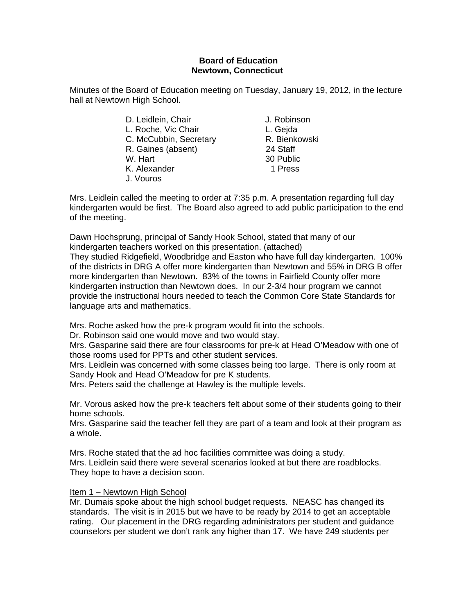#### **Board of Education Newtown, Connecticut**

Minutes of the Board of Education meeting on Tuesday, January 19, 2012, in the lecture hall at Newtown High School.

> D. Leidlein, Chair **J. Robinson** L. Roche, Vic Chair **L. Geida** C. McCubbin, Secretary R. Bienkowski R. Gaines (absent) 24 Staff W. Hart 30 Public K. Alexander 1 Press J. Vouros

Mrs. Leidlein called the meeting to order at 7:35 p.m. A presentation regarding full day kindergarten would be first. The Board also agreed to add public participation to the end of the meeting.

Dawn Hochsprung, principal of Sandy Hook School, stated that many of our kindergarten teachers worked on this presentation. (attached) They studied Ridgefield, Woodbridge and Easton who have full day kindergarten. 100% of the districts in DRG A offer more kindergarten than Newtown and 55% in DRG B offer more kindergarten than Newtown. 83% of the towns in Fairfield County offer more kindergarten instruction than Newtown does. In our 2-3/4 hour program we cannot provide the instructional hours needed to teach the Common Core State Standards for language arts and mathematics.

Mrs. Roche asked how the pre-k program would fit into the schools.

Dr. Robinson said one would move and two would stay.

Mrs. Gasparine said there are four classrooms for pre-k at Head O'Meadow with one of those rooms used for PPTs and other student services.

Mrs. Leidlein was concerned with some classes being too large. There is only room at Sandy Hook and Head O'Meadow for pre K students.

Mrs. Peters said the challenge at Hawley is the multiple levels.

Mr. Vorous asked how the pre-k teachers felt about some of their students going to their home schools.

Mrs. Gasparine said the teacher fell they are part of a team and look at their program as a whole.

Mrs. Roche stated that the ad hoc facilities committee was doing a study. Mrs. Leidlein said there were several scenarios looked at but there are roadblocks. They hope to have a decision soon.

#### Item 1 – Newtown High School

Mr. Dumais spoke about the high school budget requests. NEASC has changed its standards. The visit is in 2015 but we have to be ready by 2014 to get an acceptable rating. Our placement in the DRG regarding administrators per student and guidance counselors per student we don't rank any higher than 17. We have 249 students per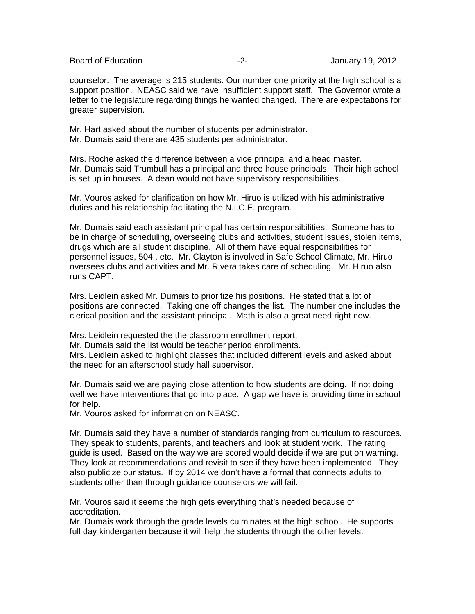Board of Education **-2-** Figure 2. Figure 19, 2012

counselor. The average is 215 students. Our number one priority at the high school is a support position. NEASC said we have insufficient support staff. The Governor wrote a letter to the legislature regarding things he wanted changed. There are expectations for greater supervision.

Mr. Hart asked about the number of students per administrator. Mr. Dumais said there are 435 students per administrator.

Mrs. Roche asked the difference between a vice principal and a head master. Mr. Dumais said Trumbull has a principal and three house principals. Their high school is set up in houses. A dean would not have supervisory responsibilities.

Mr. Vouros asked for clarification on how Mr. Hiruo is utilized with his administrative duties and his relationship facilitating the N.I.C.E. program.

Mr. Dumais said each assistant principal has certain responsibilities. Someone has to be in charge of scheduling, overseeing clubs and activities, student issues, stolen items, drugs which are all student discipline. All of them have equal responsibilities for personnel issues, 504,, etc. Mr. Clayton is involved in Safe School Climate, Mr. Hiruo oversees clubs and activities and Mr. Rivera takes care of scheduling. Mr. Hiruo also runs CAPT.

Mrs. Leidlein asked Mr. Dumais to prioritize his positions. He stated that a lot of positions are connected. Taking one off changes the list. The number one includes the clerical position and the assistant principal. Math is also a great need right now.

Mrs. Leidlein requested the the classroom enrollment report. Mr. Dumais said the list would be teacher period enrollments. Mrs. Leidlein asked to highlight classes that included different levels and asked about the need for an afterschool study hall supervisor.

Mr. Dumais said we are paying close attention to how students are doing. If not doing well we have interventions that go into place. A gap we have is providing time in school for help.

Mr. Vouros asked for information on NEASC.

Mr. Dumais said they have a number of standards ranging from curriculum to resources. They speak to students, parents, and teachers and look at student work. The rating guide is used. Based on the way we are scored would decide if we are put on warning. They look at recommendations and revisit to see if they have been implemented. They also publicize our status. If by 2014 we don't have a formal that connects adults to students other than through guidance counselors we will fail.

Mr. Vouros said it seems the high gets everything that's needed because of accreditation.

Mr. Dumais work through the grade levels culminates at the high school. He supports full day kindergarten because it will help the students through the other levels.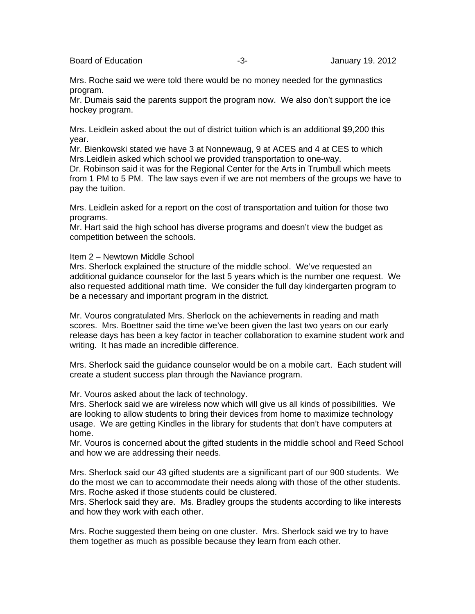Board of Education **Contact Contact Contact Contact Contact Contact Contact Contact Contact Contact Contact Contact Contact Contact Contact Contact Contact Contact Contact Contact Contact Contact Contact Contact Contact Co** 

Mrs. Roche said we were told there would be no money needed for the gymnastics program.

Mr. Dumais said the parents support the program now. We also don't support the ice hockey program.

Mrs. Leidlein asked about the out of district tuition which is an additional \$9,200 this year.

Mr. Bienkowski stated we have 3 at Nonnewaug, 9 at ACES and 4 at CES to which Mrs.Leidlein asked which school we provided transportation to one-way.

Dr. Robinson said it was for the Regional Center for the Arts in Trumbull which meets from 1 PM to 5 PM. The law says even if we are not members of the groups we have to pay the tuition.

Mrs. Leidlein asked for a report on the cost of transportation and tuition for those two programs.

Mr. Hart said the high school has diverse programs and doesn't view the budget as competition between the schools.

Item 2 – Newtown Middle School

Mrs. Sherlock explained the structure of the middle school. We've requested an additional guidance counselor for the last 5 years which is the number one request. We also requested additional math time. We consider the full day kindergarten program to be a necessary and important program in the district.

Mr. Vouros congratulated Mrs. Sherlock on the achievements in reading and math scores. Mrs. Boettner said the time we've been given the last two years on our early release days has been a key factor in teacher collaboration to examine student work and writing. It has made an incredible difference.

Mrs. Sherlock said the guidance counselor would be on a mobile cart. Each student will create a student success plan through the Naviance program.

Mr. Vouros asked about the lack of technology.

Mrs. Sherlock said we are wireless now which will give us all kinds of possibilities. We are looking to allow students to bring their devices from home to maximize technology usage. We are getting Kindles in the library for students that don't have computers at home.

Mr. Vouros is concerned about the gifted students in the middle school and Reed School and how we are addressing their needs.

Mrs. Sherlock said our 43 gifted students are a significant part of our 900 students. We do the most we can to accommodate their needs along with those of the other students. Mrs. Roche asked if those students could be clustered.

Mrs. Sherlock said they are. Ms. Bradley groups the students according to like interests and how they work with each other.

Mrs. Roche suggested them being on one cluster. Mrs. Sherlock said we try to have them together as much as possible because they learn from each other.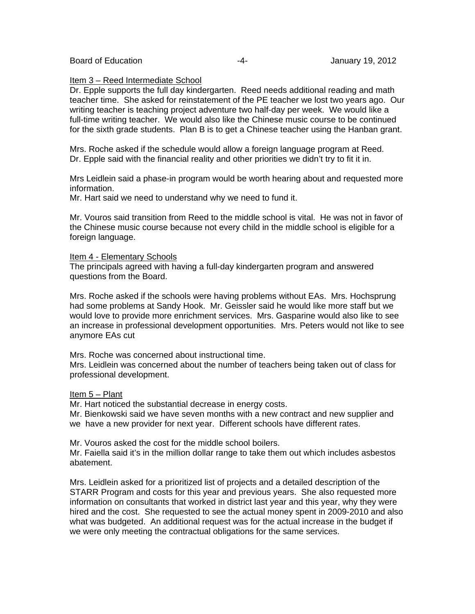Board of Education **Contract Contract Contract Contract Contract Contract Contract Contract Contract Contract Contract Contract Contract Contract Contract Contract Contract Contract Contract Contract Contract Contract Cont** 

#### Item 3 – Reed Intermediate School

Dr. Epple supports the full day kindergarten. Reed needs additional reading and math teacher time. She asked for reinstatement of the PE teacher we lost two years ago. Our writing teacher is teaching project adventure two half-day per week. We would like a full-time writing teacher. We would also like the Chinese music course to be continued for the sixth grade students. Plan B is to get a Chinese teacher using the Hanban grant.

Mrs. Roche asked if the schedule would allow a foreign language program at Reed. Dr. Epple said with the financial reality and other priorities we didn't try to fit it in.

Mrs Leidlein said a phase-in program would be worth hearing about and requested more information.

Mr. Hart said we need to understand why we need to fund it.

Mr. Vouros said transition from Reed to the middle school is vital. He was not in favor of the Chinese music course because not every child in the middle school is eligible for a foreign language.

#### Item 4 - Elementary Schools

The principals agreed with having a full-day kindergarten program and answered questions from the Board.

Mrs. Roche asked if the schools were having problems without EAs. Mrs. Hochsprung had some problems at Sandy Hook. Mr. Geissler said he would like more staff but we would love to provide more enrichment services. Mrs. Gasparine would also like to see an increase in professional development opportunities. Mrs. Peters would not like to see anymore EAs cut

Mrs. Roche was concerned about instructional time.

Mrs. Leidlein was concerned about the number of teachers being taken out of class for professional development.

#### Item 5 - Plant

Mr. Hart noticed the substantial decrease in energy costs.

Mr. Bienkowski said we have seven months with a new contract and new supplier and we have a new provider for next year. Different schools have different rates.

Mr. Vouros asked the cost for the middle school boilers.

Mr. Faiella said it's in the million dollar range to take them out which includes asbestos abatement.

Mrs. Leidlein asked for a prioritized list of projects and a detailed description of the STARR Program and costs for this year and previous years. She also requested more information on consultants that worked in district last year and this year, why they were hired and the cost. She requested to see the actual money spent in 2009-2010 and also what was budgeted. An additional request was for the actual increase in the budget if we were only meeting the contractual obligations for the same services.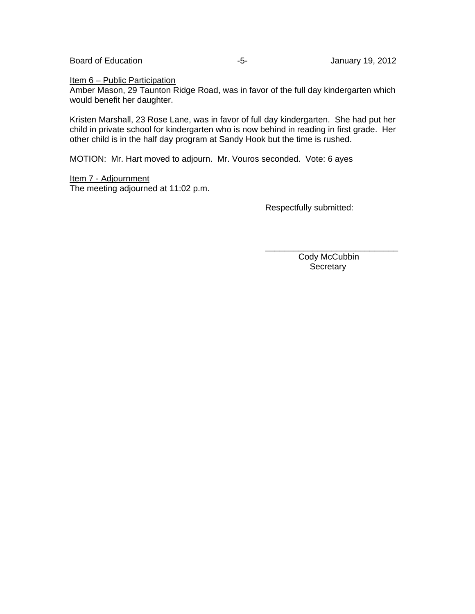Board of Education **Contract Contract Contract Contract Contract Contract Contract Contract Contract Contract Contract Contract Contract Contract Contract Contract Contract Contract Contract Contract Contract Contract Cont** 

Item 6 – Public Participation

Amber Mason, 29 Taunton Ridge Road, was in favor of the full day kindergarten which would benefit her daughter.

Kristen Marshall, 23 Rose Lane, was in favor of full day kindergarten. She had put her child in private school for kindergarten who is now behind in reading in first grade. Her other child is in the half day program at Sandy Hook but the time is rushed.

 $\overline{\phantom{a}}$  , and the contract of the contract of the contract of the contract of the contract of the contract of the contract of the contract of the contract of the contract of the contract of the contract of the contrac

MOTION: Mr. Hart moved to adjourn. Mr. Vouros seconded. Vote: 6 ayes

Item 7 - Adjournment The meeting adjourned at 11:02 p.m.

Respectfully submitted:

 Cody McCubbin **Secretary**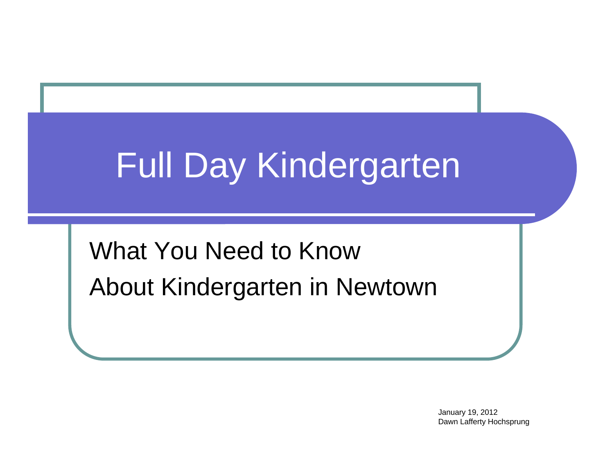# Full Day Kindergarten

### What You Need to Know About Kindergarten in Newtown

January 19, 2012 Dawn Lafferty Hochsprung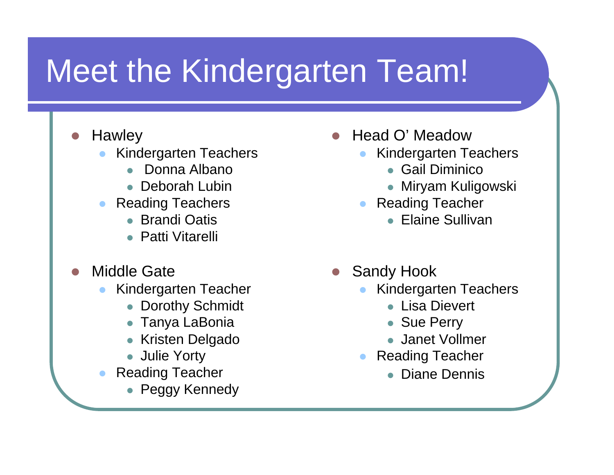## Meet the Kindergarten Team!

- $\bullet$ **Hawley** 
	- $\bullet$  Kindergarten Teachers
		- $\bullet$ Donna Albano
		- Deborah Lubin
	- $\bullet$  Reading Teachers
		- Brandi Oatis
		- Patti Vitarelli
- $\bigcirc$  Middle Gate
	- $\bullet$  Kindergarten Teacher
		- Dorothy Schmidt
		- $\bullet$ Tanya LaBonia
		- $\bullet$ Kristen Delgado
		- Julie Yorty
	- $\bullet$  Reading Teacher
		- Peggy Kennedy
- Head O' Meadow
	- $\bullet$  Kindergarten Teachers
		- Gail Diminico
		- $\bullet$ Miryam Kuligowski
	- $\bullet$  Reading Teacher
		- Elaine Sullivan
- $\bigcirc$  Sandy Hook
	- $\bullet$  Kindergarten Teachers
		- Lisa Dievert
		- Sue Perry
		- Janet Vollmer
	- $\bullet$  Reading Teacher
		- Diane Dennis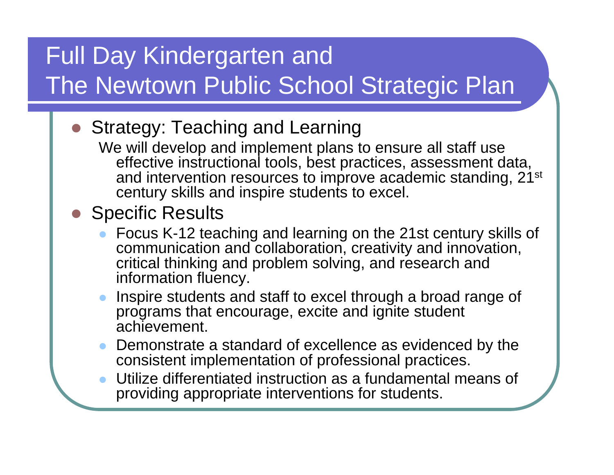### Full Day Kindergarten and The Newtown Public School Strategic Plan

- **Strategy: Teaching and Learning** 
	- We will develop and implement plans to ensure all staff use effective instructional tools, best practices, assessment data, and intervention resources to improve academic standing, 21<sup>st</sup> century skills and inspire students to excel.
- Specific Results
	- $\bullet$  Focus K-12 teaching and learning on the 21st century skills of communication and collaboration, creativity and innovation, critical thinking and problem solving, and research and information fluency.
	- $\bullet$  Inspire students and staff to excel through a broad range of programs that encourage, excite and ignite student achievement.
	- $\bullet$  Demonstrate a standard of excellence as evidenced by the consistent implementation of professional practices.
	- $\bullet$  Utilize differentiated instruction as a fundamental means of providing appropriate interventions for students.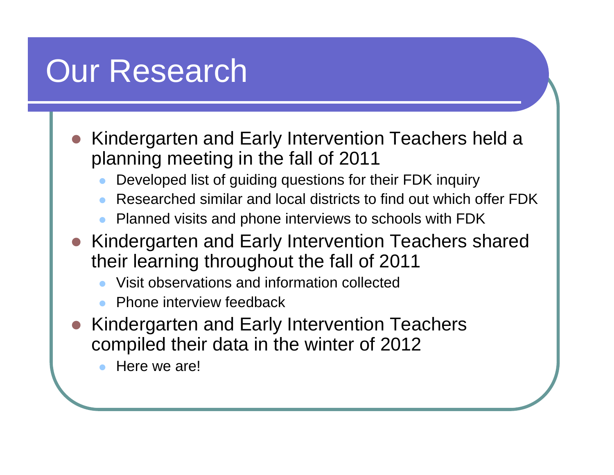### Our Research

- Kindergarten and Early Intervention Teachers held a planning meeting in the fall of 2011
	- $\bullet$ Developed list of guiding questions for their FDK inquiry
	- $\bullet$ Researched similar and local districts to find out which offer FDK
	- $\bullet$ Planned visits and phone interviews to schools with FDK
- Kindergarten and Early Intervention Teachers shared their learning throughout the fall of 2011
	- $\bullet$ Visit observations and information collected
	- $\bullet$ Phone interview feedback
- Kindergarten and Early Intervention Teachers compiled their data in the winter of 2012
	- $\bullet$ Here we are!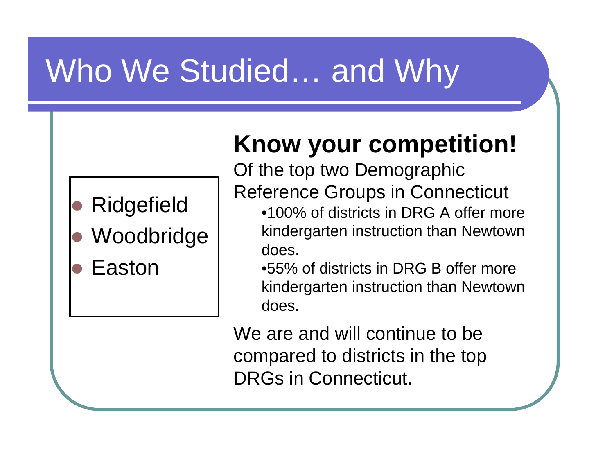## Who We Studied… and Why

- $\bullet$ Ridgefield
- $\bullet$ Woodbridge
- $\bullet$ Easton

### **Know your competition!**

Of the top two Demographic Reference Groups in Connecticut

- •100% of districts in DRG A offer more kindergarten instruction than Newtown does.
- •55% of districts in DRG B offer more kindergarten instruction than Newtown does.

We are and will continue to be compared to districts in the top DRGs in Connecticut.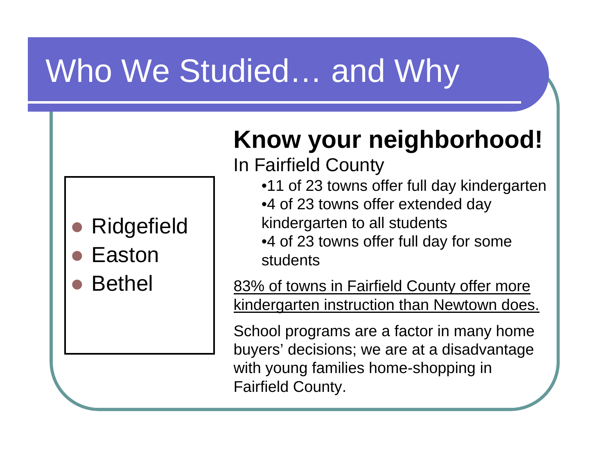## Who We Studied… and Why

- $\bullet$ Ridgefield
- $\bullet$ Easton
- $\bullet$ Bethel

### **Know your neighborhood!**

In Fairfield County

- •11 of 23 towns offer full day kindergarten
- •4 of 23 towns offer extended day kindergarten to all students
- •4 of 23 towns offer full day for some students

83% of towns in Fairfield County offer more kindergarten instruction than Newtown does.

School programs are a factor in many home buyers' decisions; we are at a disadvantage with young families home-shopping in Fairfield County.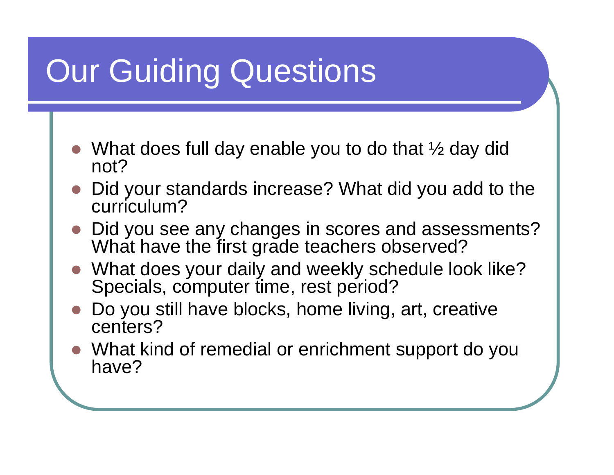## Our Guiding Questions

- What does full day enable you to do that ½ day did not?
- $\bullet$  Did your standards increase? What did you add to the curriculum?
- $\bullet$  Did you see any changes in scores and assessments? What have the first grade teachers observed?
- $\bullet$  What does your daily and weekly schedule look like? Specials, computer time, rest period?
- $\bullet$  Do you still have blocks, home living, art, creative centers?
- $\bullet$  What kind of remedial or enrichment support do you have?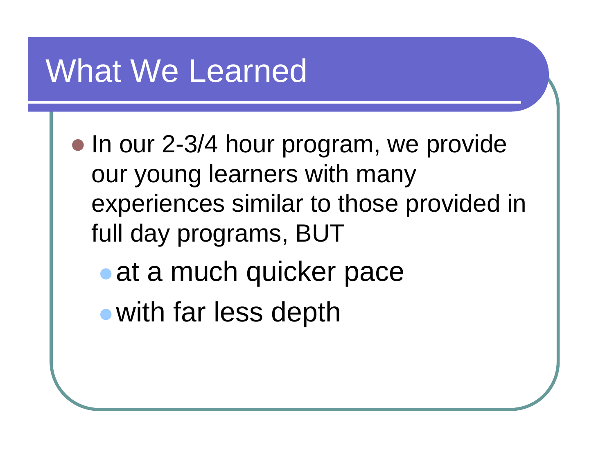- In our 2-3/4 hour program, we provide our young learners with many experiences similar to those provided in full day programs, BUT  $\bullet$  at a much quicker pace
	- $\bullet$ with far less depth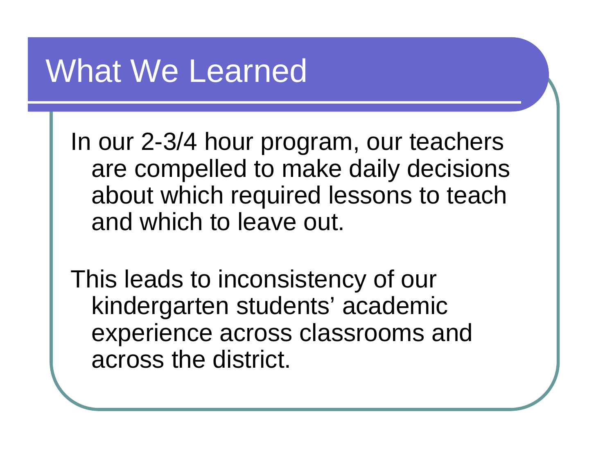In our 2-3/4 hour program, our teachers are compelled to make daily decisions about which required lessons to teach and which to leave out.

This leads to inconsistency of our kindergarten students' academic experience across classrooms and across the district.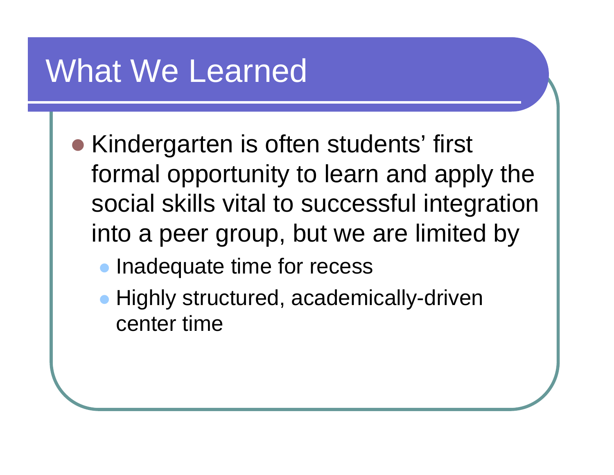- **Kindergarten is often students' first** formal opportunity to learn and apply the social skills vital to successful integration into a peer group, but we are limited by
	- $\bullet$ Inadequate time for recess
	- Highly structured, academically-driven center time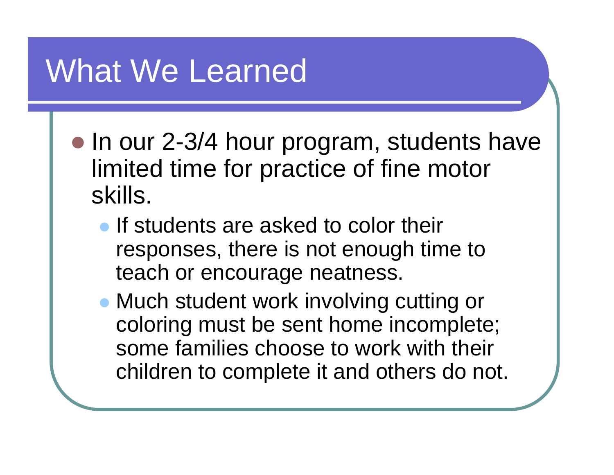- In our 2-3/4 hour program, students have limited time for practice of fine motor skills.
	- **If students are asked to color their** responses, there is not enough time to teach or encourage neatness.
	- Much student work involving cutting or coloring must be sent home incomplete; some families choose to work with their children to complete it and others do not.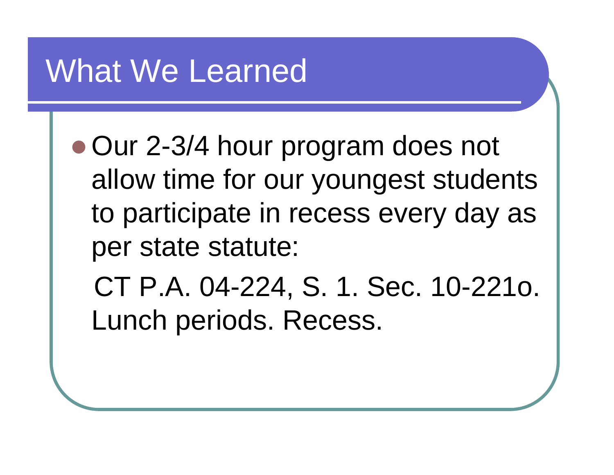• Our 2-3/4 hour program does not allow time for our youngest students to participate in recess every day as per state statute:

CT P.A. 04-224, S. 1. Sec. 10-221o. Lunch periods. Recess.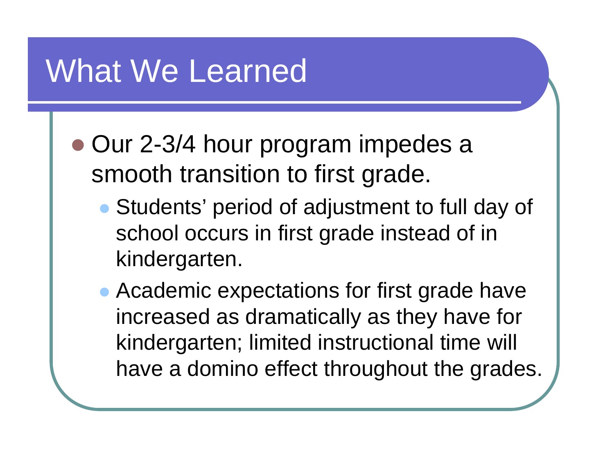- Our 2-3/4 hour program impedes a smooth transition to first grade.
	- Students' period of adjustment to full day of school occurs in first grade instead of in kindergarten.
	- Academic expectations for first grade have increased as dramatically as they have for kindergarten; limited instructional time will have a domino effect throughout the grades.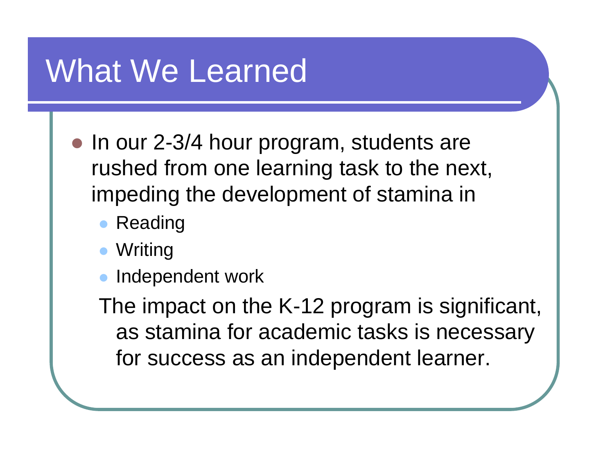- In our 2-3/4 hour program, students are rushed from one learning task to the next, impeding the development of stamina in
	- $\bullet$ Reading
	- Writing
	- $\bullet$ Independent work

The impact on the K-12 program is significant, as stamina for academic tasks is necessary for success as an independent learner.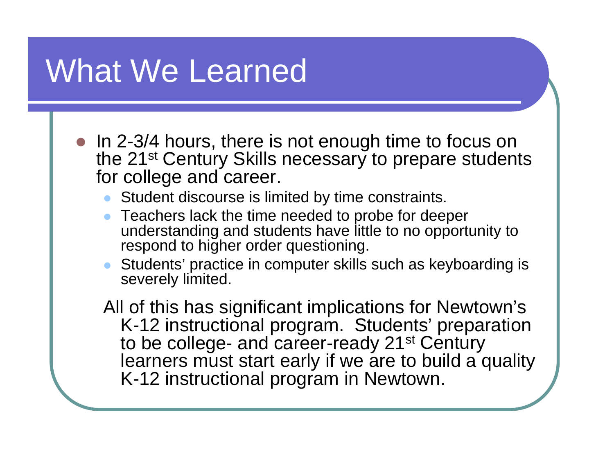- In 2-3/4 hours, there is not enough time to focus on the 21<sup>st</sup> Century Skills necessary to prepare students for college and career.
	- $\bullet$ Student discourse is limited by time constraints.
	- $\bullet$  Teachers lack the time needed to probe for deeper understanding and students have little to no opportunity to respond to higher order questioning.
	- Students' practice in computer skills such as keyboarding is severely limited.

All of this has significant implications for Newtown's K-12 instructional program. Students' preparation to be college- and career-ready 21<sup>st</sup> Century learners must start early if we are to build a quality K-12 instructional program in Newtown.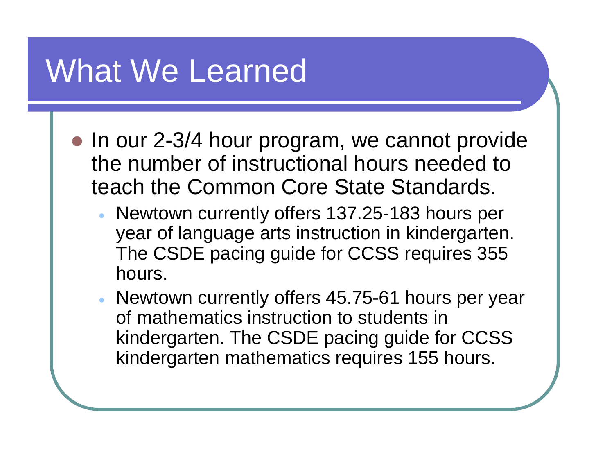- In our 2-3/4 hour program, we cannot provide the number of instructional hours needed to teach the Common Core State Standards.
	- Newtown currently offers 137.25-183 hours per year of language arts instruction in kindergarten. The CSDE pacing guide for CCSS requires 355 hours.
	- Newtown currently offers 45.75-61 hours per year of mathematics instruction to students in kindergarten. The CSDE pacing guide for CCSS kindergarten mathematics requires 155 hours.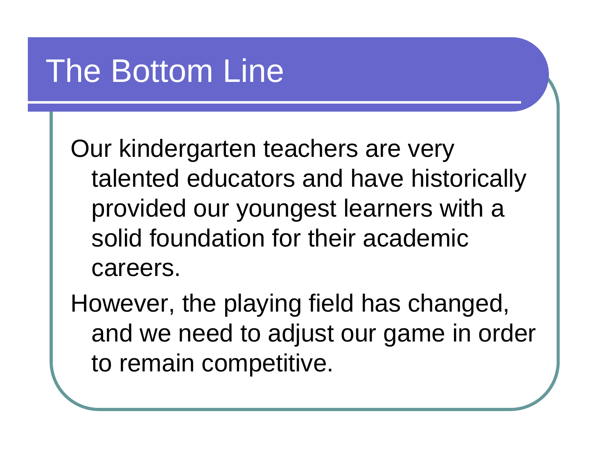### The Bottom Line

Our kindergarten teachers are very talented educators and have historically provided our youngest learners with a solid foundation for their academic careers.

However, the playing field has changed, and we need to adjust our game in order to remain competitive.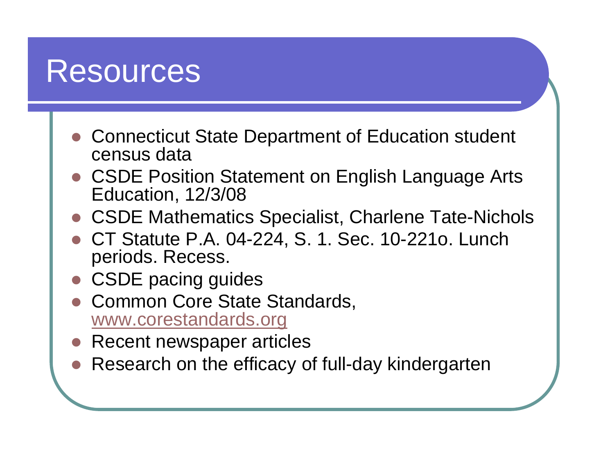### Resources

- Connecticut State Department of Education student census data
- $\bullet$  CSDE Position Statement on English Language Arts Education, 12/3/08
- $\bullet$ CSDE Mathematics Specialist, Charlene Tate-Nichols
- $\bullet$  CT Statute P.A. 04-224, S. 1. Sec. 10-221o. Lunch periods. Recess.
- CSDE pacing guides
- $\bigcirc$  Common Core State Standards, [www.corestandards.org](http://www.corestandards.org/)
- $\bullet$ Recent newspaper articles
- Research on the efficacy of full-day kindergarten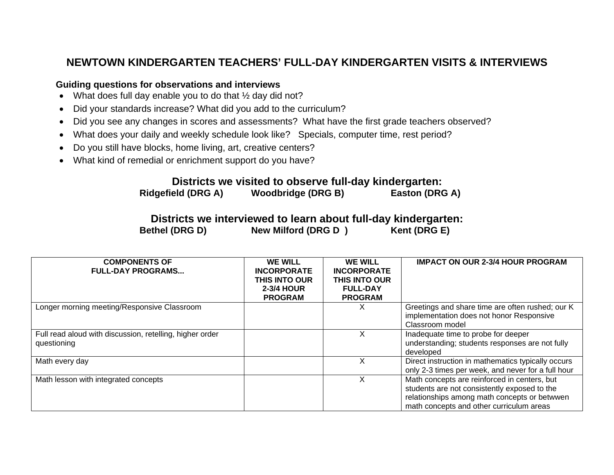### **NEWTOWN KINDERGARTEN TEACHERS' FULL-DAY KINDERGARTEN VISITS & INTERVIEWS**

#### **Guiding questions for observations and interviews**

- What does full day enable you to do that 1/2 day did not?
- Did your standards increase? What did you add to the curriculum?
- Did you see any changes in scores and assessments? What have the first grade teachers observed?
- What does your daily and weekly schedule look like? Specials, computer time, rest period?
- Do you still have blocks, home living, art, creative centers?
- What kind of remedial or enrichment support do you have?

### **Districts we visited to observe full-day kindergarten:**

**Ridgefield (DRG A) Woodbridge (DRG B) Easton (DRG A)** 

#### **Districts we interviewed to learn about full-day kindergarten:**  Bethel (DRG D) **New Milford (DRG D)** Kent (DRG E)

| <b>COMPONENTS OF</b><br><b>FULL-DAY PROGRAMS</b>                        | <b>WE WILL</b><br><b>INCORPORATE</b><br><b>THIS INTO OUR</b><br>2-3/4 HOUR<br><b>PROGRAM</b> | <b>WE WILL</b><br><b>INCORPORATE</b><br><b>THIS INTO OUR</b><br><b>FULL-DAY</b><br><b>PROGRAM</b> | <b>IMPACT ON OUR 2-3/4 HOUR PROGRAM</b>                                                                                                                                                  |
|-------------------------------------------------------------------------|----------------------------------------------------------------------------------------------|---------------------------------------------------------------------------------------------------|------------------------------------------------------------------------------------------------------------------------------------------------------------------------------------------|
| Longer morning meeting/Responsive Classroom                             |                                                                                              | ㅅ                                                                                                 | Greetings and share time are often rushed; our K<br>implementation does not honor Responsive<br>Classroom model                                                                          |
| Full read aloud with discussion, retelling, higher order<br>questioning |                                                                                              |                                                                                                   | Inadequate time to probe for deeper<br>understanding; students responses are not fully<br>developed                                                                                      |
| Math every day                                                          |                                                                                              |                                                                                                   | Direct instruction in mathematics typically occurs<br>only 2-3 times per week, and never for a full hour                                                                                 |
| Math lesson with integrated concepts                                    |                                                                                              |                                                                                                   | Math concepts are reinforced in centers, but<br>students are not consistently exposed to the<br>relationships among math concepts or betwwen<br>math concepts and other curriculum areas |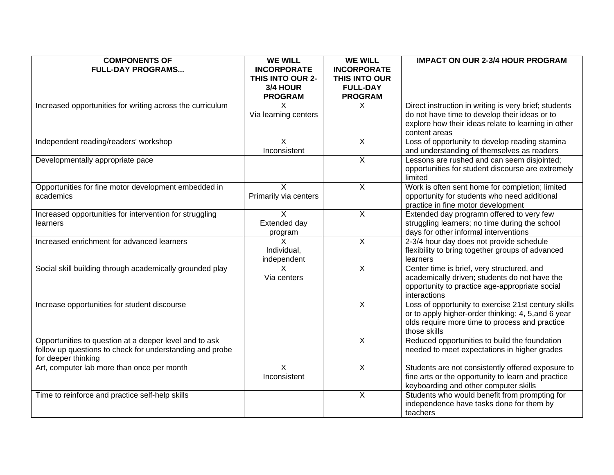| <b>COMPONENTS OF</b><br><b>FULL-DAY PROGRAMS</b>                                                                                          | <b>WE WILL</b><br><b>INCORPORATE</b><br>THIS INTO OUR 2-<br>3/4 HOUR | <b>WE WILL</b><br><b>INCORPORATE</b><br>THIS INTO OUR<br><b>FULL-DAY</b> | <b>IMPACT ON OUR 2-3/4 HOUR PROGRAM</b>                                                                                                                                        |
|-------------------------------------------------------------------------------------------------------------------------------------------|----------------------------------------------------------------------|--------------------------------------------------------------------------|--------------------------------------------------------------------------------------------------------------------------------------------------------------------------------|
|                                                                                                                                           | <b>PROGRAM</b>                                                       | <b>PROGRAM</b>                                                           |                                                                                                                                                                                |
| Increased opportunities for writing across the curriculum                                                                                 | X<br>Via learning centers                                            | X                                                                        | Direct instruction in writing is very brief; students<br>do not have time to develop their ideas or to<br>explore how their ideas relate to learning in other<br>content areas |
| Independent reading/readers' workshop                                                                                                     | X<br>Inconsistent                                                    | X                                                                        | Loss of opportunity to develop reading stamina<br>and understanding of themselves as readers                                                                                   |
| Developmentally appropriate pace                                                                                                          |                                                                      | X                                                                        | Lessons are rushed and can seem disjointed;<br>opportunities for student discourse are extremely<br>limited                                                                    |
| Opportunities for fine motor development embedded in<br>academics                                                                         | X<br>Primarily via centers                                           | $\overline{X}$                                                           | Work is often sent home for completion; limited<br>opportunity for students who need additional<br>practice in fine motor development                                          |
| Increased opportunities for intervention for struggling<br>learners                                                                       | X<br>Extended day<br>program                                         | X                                                                        | Extended day programn offered to very few<br>struggling learners; no time during the school<br>days for other informal interventions                                           |
| Increased enrichment for advanced learners                                                                                                | X<br>Individual,<br>independent                                      | $\overline{X}$                                                           | 2-3/4 hour day does not provide schedule<br>flexibility to bring together groups of advanced<br>learners                                                                       |
| Social skill building through academically grounded play                                                                                  | X<br>Via centers                                                     | $\overline{\mathsf{x}}$                                                  | Center time is brief, very structured, and<br>academically driven; students do not have the<br>opportunity to practice age-appropriate social<br>interactions                  |
| Increase opportunities for student discourse                                                                                              |                                                                      | $\overline{X}$                                                           | Loss of opportunity to exercise 21st century skills<br>or to apply higher-order thinking; 4, 5, and 6 year<br>olds require more time to process and practice<br>those skills   |
| Opportunities to question at a deeper level and to ask<br>follow up questions to check for understanding and probe<br>for deeper thinking |                                                                      | $\overline{X}$                                                           | Reduced opportunities to build the foundation<br>needed to meet expectations in higher grades                                                                                  |
| Art, computer lab more than once per month                                                                                                | X<br>Inconsistent                                                    | X                                                                        | Students are not consistently offered exposure to<br>fine arts or the opportunity to learn and practice<br>keyboarding and other computer skills                               |
| Time to reinforce and practice self-help skills                                                                                           |                                                                      | X                                                                        | Students who would benefit from prompting for<br>independence have tasks done for them by<br>teachers                                                                          |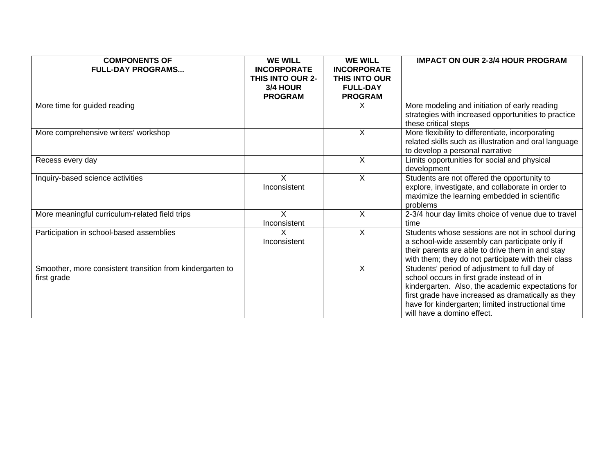| <b>COMPONENTS OF</b>                                      | <b>WE WILL</b>          | <b>WE WILL</b>     | <b>IMPACT ON OUR 2-3/4 HOUR PROGRAM</b>               |
|-----------------------------------------------------------|-------------------------|--------------------|-------------------------------------------------------|
| <b>FULL-DAY PROGRAMS</b>                                  | <b>INCORPORATE</b>      | <b>INCORPORATE</b> |                                                       |
|                                                           | <b>THIS INTO OUR 2-</b> | THIS INTO OUR      |                                                       |
|                                                           | 3/4 HOUR                | <b>FULL-DAY</b>    |                                                       |
|                                                           | <b>PROGRAM</b>          | <b>PROGRAM</b>     |                                                       |
| More time for guided reading                              |                         | X                  | More modeling and initiation of early reading         |
|                                                           |                         |                    | strategies with increased opportunities to practice   |
|                                                           |                         |                    | these critical steps                                  |
| More comprehensive writers' workshop                      |                         | X                  | More flexibility to differentiate, incorporating      |
|                                                           |                         |                    | related skills such as illustration and oral language |
|                                                           |                         |                    | to develop a personal narrative                       |
| Recess every day                                          |                         | X                  | Limits opportunities for social and physical          |
|                                                           |                         |                    | development                                           |
| Inquiry-based science activities                          | X                       | X                  | Students are not offered the opportunity to           |
|                                                           | Inconsistent            |                    | explore, investigate, and collaborate in order to     |
|                                                           |                         |                    | maximize the learning embedded in scientific          |
|                                                           |                         |                    | problems                                              |
| More meaningful curriculum-related field trips            | X                       | X                  | 2-3/4 hour day limits choice of venue due to travel   |
|                                                           | Inconsistent            |                    | time                                                  |
| Participation in school-based assemblies                  | X                       | X                  | Students whose sessions are not in school during      |
|                                                           | Inconsistent            |                    | a school-wide assembly can participate only if        |
|                                                           |                         |                    | their parents are able to drive them in and stay      |
|                                                           |                         |                    | with them; they do not participate with their class   |
| Smoother, more consistent transition from kindergarten to |                         | X                  | Students' period of adjustment to full day of         |
| first grade                                               |                         |                    | school occurs in first grade instead of in            |
|                                                           |                         |                    | kindergarten. Also, the academic expectations for     |
|                                                           |                         |                    | first grade have increased as dramatically as they    |
|                                                           |                         |                    | have for kindergarten; limited instructional time     |
|                                                           |                         |                    | will have a domino effect.                            |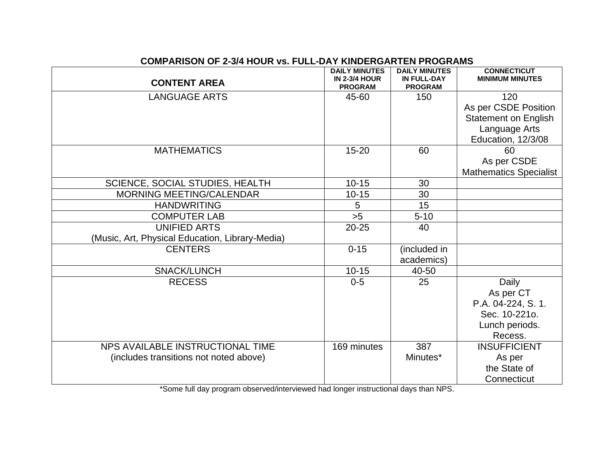| <b>DAILY MINUTES</b><br><b>DAILY MINUTES</b>    |                                        |                               |                                              |  |
|-------------------------------------------------|----------------------------------------|-------------------------------|----------------------------------------------|--|
| <b>CONTENT AREA</b>                             | <b>IN 2-3/4 HOUR</b><br><b>PROGRAM</b> | IN FULL-DAY<br><b>PROGRAM</b> | <b>CONNECTICUT</b><br><b>MINIMUM MINUTES</b> |  |
| <b>LANGUAGE ARTS</b>                            | 45-60                                  | 150                           | 120                                          |  |
|                                                 |                                        |                               | As per CSDE Position                         |  |
|                                                 |                                        |                               | <b>Statement on English</b>                  |  |
|                                                 |                                        |                               | Language Arts                                |  |
|                                                 |                                        |                               | Education, 12/3/08                           |  |
| <b>MATHEMATICS</b>                              | $15 - 20$                              | 60                            | 60                                           |  |
|                                                 |                                        |                               | As per CSDE                                  |  |
|                                                 |                                        |                               | <b>Mathematics Specialist</b>                |  |
| <b>SCIENCE, SOCIAL STUDIES, HEALTH</b>          | $10 - 15$                              | 30                            |                                              |  |
| <b>MORNING MEETING/CALENDAR</b>                 | $10 - 15$                              | 30                            |                                              |  |
| <b>HANDWRITING</b>                              | 5                                      | 15                            |                                              |  |
| <b>COMPUTER LAB</b>                             | >5                                     | $5 - 10$                      |                                              |  |
| <b>UNIFIED ARTS</b>                             | $20 - 25$                              | 40                            |                                              |  |
| (Music, Art, Physical Education, Library-Media) |                                        |                               |                                              |  |
| <b>CENTERS</b>                                  | $0 - 15$                               | (included in                  |                                              |  |
|                                                 |                                        | academics)                    |                                              |  |
| SNACK/LUNCH                                     | $10 - 15$                              | 40-50                         |                                              |  |
| <b>RECESS</b>                                   | $0 - 5$                                | 25                            | Daily                                        |  |
|                                                 |                                        |                               | As per CT                                    |  |
|                                                 |                                        |                               | P.A. 04-224, S. 1.                           |  |
|                                                 |                                        |                               | Sec. 10-221o.                                |  |
|                                                 |                                        |                               | Lunch periods.                               |  |
|                                                 |                                        |                               | Recess.                                      |  |
| NPS AVAILABLE INSTRUCTIONAL TIME                | 169 minutes                            | 387                           | <b>INSUFFICIENT</b>                          |  |
| (includes transitions not noted above)          |                                        | Minutes*                      | As per                                       |  |
|                                                 |                                        |                               | the State of                                 |  |
|                                                 |                                        |                               | Connecticut                                  |  |

#### **COMPARISON OF 2-3/4 HOUR vs. FULL-DAY KINDERGARTEN PROGRAMS**

\*Some full day program observed/interviewed had longer instructional days than NPS.